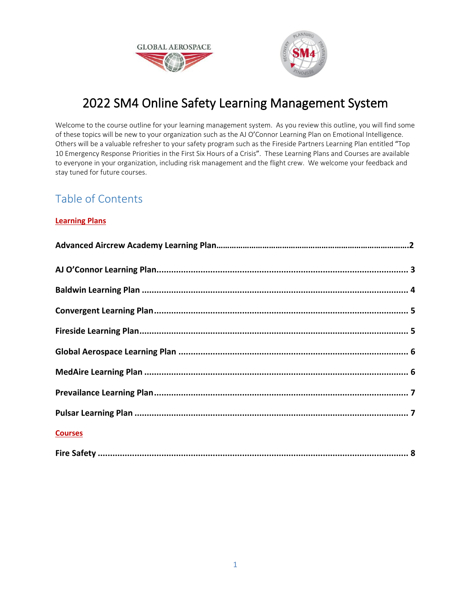



# 2022 SM4 Online Safety Learning Management System

Welcome to the course outline for your learning management system. As you review this outline, you will find some of these topics will be new to your organization such as the AJ O'Connor Learning Plan on Emotional Intelligence. Others will be a valuable refresher to your safety program such as the Fireside Partners Learning Plan entitled "Top 10 Emergency Response Priorities in the First Six Hours of a Crisis". These Learning Plans and Courses are available to everyone in your organization, including risk management and the flight crew. We welcome your feedback and stay tuned for future courses.

# Table of Contents

# **Learning Plans**

| <b>Courses</b> |  |
|----------------|--|
|                |  |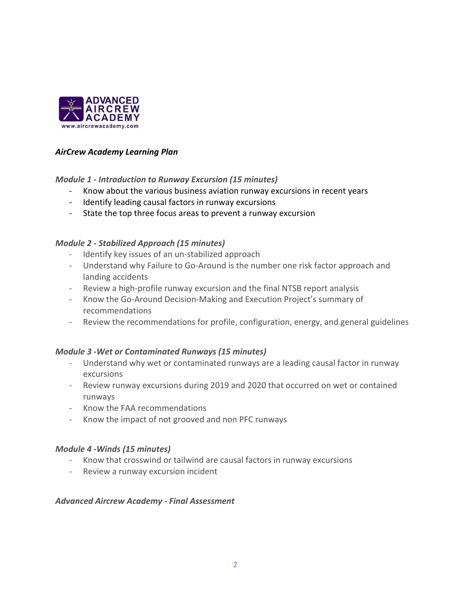

# *AirCrew Academy Learning Plan*

# *Module 1 ‐ Introduction to Runway Excursion (15 minutes)*

- Know about the various business aviation runway excursions in recent years
- Identify leading causal factors in runway excursions
- State the top three focus areas to prevent a runway excursion

# *Module 2 ‐ Stabilized Approach (15 minutes)*

- Identify key issues of an un-stabilized approach
- Understand why Failure to Go-Around is the number one risk factor approach and landing accidents
- Review a high-profile runway excursion and the final NTSB report analysis
- Know the Go-Around Decision-Making and Execution Project's summary of recommendations
- Review the recommendations for profile, configuration, energy, and general guidelines

# *Module 3 ‐Wet or Contaminated Runways (15 minutes)*

- Understand why wet or contaminated runways are a leading causal factor in runway excursions
- Review runway excursions during 2019 and 2020 that occurred on wet or contained runways
- Know the FAA recommendations
- Know the impact of not grooved and non PFC runways

# *Module 4 ‐Winds (15 minutes)*

- Know that crosswind or tailwind are causal factors in runway excursions
- Review a runway excursion incident

# *Advanced Aircrew Academy ‐ Final Assessment*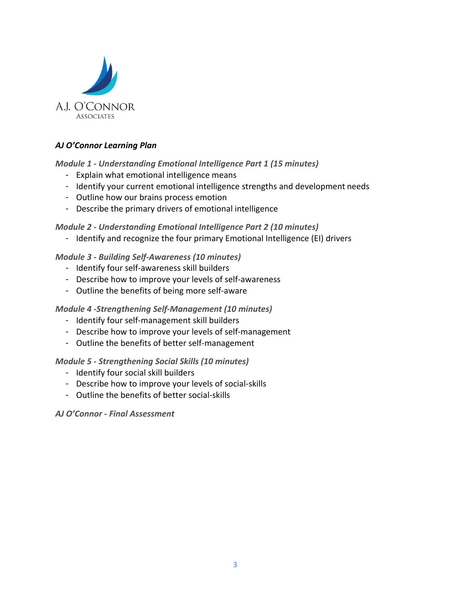

# *AJ O'Connor Learning Plan*

# <span id="page-2-0"></span>*Module 1 ‐ Understanding Emotional Intelligence Part 1 (15 minutes)*

- <sup>−</sup> Explain what emotional intelligence means
- <sup>−</sup> Identify your current emotional intelligence strengths and development needs
- <sup>−</sup> Outline how our brains process emotion
- <sup>−</sup> Describe the primary drivers of emotional intelligence

# *Module 2 ‐ Understanding Emotional Intelligence Part 2 (10 minutes)*

<sup>−</sup> Identify and recognize the four primary Emotional Intelligence (EI) drivers

# *Module 3 ‐ Building Self‐Awareness (10 minutes)*

- <sup>−</sup> Identify four self-awareness skill builders
- <sup>−</sup> Describe how to improve your levels of self-awareness
- <sup>−</sup> Outline the benefits of being more self-aware

# *Module 4 ‐Strengthening Self‐Management (10 minutes)*

- <sup>−</sup> Identify four self-management skill builders
- <sup>−</sup> Describe how to improve your levels of self-management
- <sup>−</sup> Outline the benefits of better self-management

# *Module 5 ‐ Strengthening Social Skills (10 minutes)*

- <sup>−</sup> Identify four social skill builders
- <sup>−</sup> Describe how to improve your levels of social-skills
- <sup>−</sup> Outline the benefits of better social-skills

# *AJ O'Connor ‐ Final Assessment*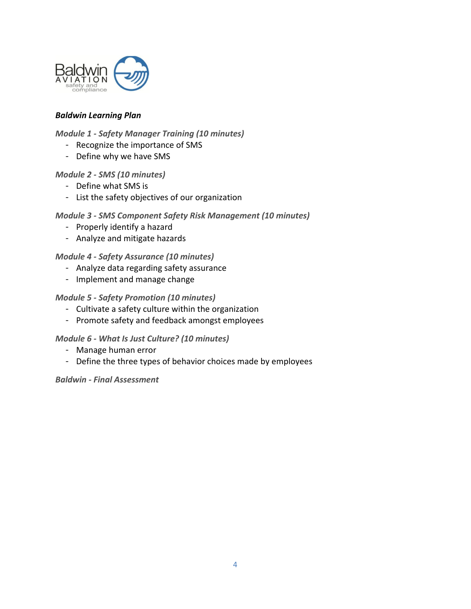

# *Baldwin Learning Plan*

# <span id="page-3-0"></span>*Module 1 ‐ Safety Manager Training (10 minutes)*

- <sup>−</sup> Recognize the importance of SMS
- <sup>−</sup> Define why we have SMS

#### *Module 2 ‐ SMS (10 minutes)*

- <sup>−</sup> Define what SMS is
- <sup>−</sup> List the safety objectives of our organization

#### *Module 3 ‐ SMS Component Safety Risk Management (10 minutes)*

- <sup>−</sup> Properly identify a hazard
- <sup>−</sup> Analyze and mitigate hazards

#### *Module 4 ‐ Safety Assurance (10 minutes)*

- <sup>−</sup> Analyze data regarding safety assurance
- <sup>−</sup> Implement and manage change

#### *Module 5 ‐ Safety Promotion (10 minutes)*

- <sup>−</sup> Cultivate a safety culture within the organization
- <sup>−</sup> Promote safety and feedback amongst employees

#### *Module 6 ‐ What Is Just Culture? (10 minutes)*

- <sup>−</sup> Manage human error
- <sup>−</sup> Define the three types of behavior choices made by employees

#### *Baldwin ‐ Final Assessment*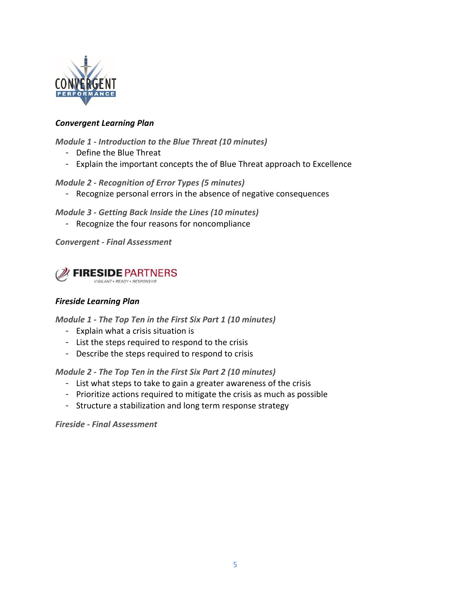

# *Convergent Learning Plan*

<span id="page-4-0"></span>*Module 1 ‐ Introduction to the Blue Threat (10 minutes)*

- <sup>−</sup> Define the Blue Threat
- <sup>−</sup> Explain the important concepts the of Blue Threat approach to Excellence

# *Module 2 ‐ Recognition of Error Types (5 minutes)*

<sup>−</sup> Recognize personal errors in the absence of negative consequences

# *Module 3 ‐ Getting Back Inside the Lines (10 minutes)*

<sup>−</sup> Recognize the four reasons for noncompliance

<span id="page-4-1"></span>*Convergent ‐ Final Assessment*



# *Fireside Learning Plan*

*Module 1 ‐ The Top Ten in the First Six Part 1 (10 minutes)*

- <sup>−</sup> Explain what a crisis situation is
- <sup>−</sup> List the steps required to respond to the crisis
- <sup>−</sup> Describe the steps required to respond to crisis

*Module 2 ‐ The Top Ten in the First Six Part 2 (10 minutes)*

- <sup>−</sup> List what steps to take to gain a greater awareness of the crisis
- <sup>−</sup> Prioritize actions required to mitigate the crisis as much as possible
- <sup>−</sup> Structure a stabilization and long term response strategy

*Fireside ‐ Final Assessment*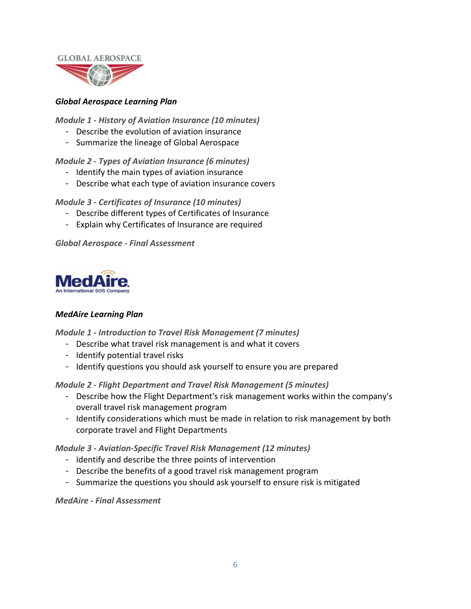

# *Global Aerospace Learning Plan*

<span id="page-5-0"></span>*Module 1 ‐ History of Aviation Insurance (10 minutes)*

- <sup>−</sup> Describe the evolution of aviation insurance
- <sup>−</sup> Summarize the lineage of Global Aerospace

# *Module 2 ‐ Types of Aviation Insurance (6 minutes)*

- <sup>−</sup> Identify the main types of aviation insurance
- <sup>−</sup> Describe what each type of aviation insurance covers

*Module 3 ‐ Certificates of Insurance (10 minutes)*

- <sup>−</sup> Describe different types of Certificates of Insurance
- <sup>−</sup> Explain why Certificates of Insurance are required

*Global Aerospace ‐ Final Assessment*



# *MedAire Learning Plan*

<span id="page-5-1"></span>*Module 1 ‐ Introduction to Travel Risk Management (7 minutes)*

- <sup>−</sup> Describe what travel risk management is and what it covers
- <sup>−</sup> Identify potential travel risks
- <sup>−</sup> Identify questions you should ask yourself to ensure you are prepared

*Module 2 ‐ Flight Department and Travel Risk Management (5 minutes)*

- <sup>−</sup> Describe how the Flight Department's risk management works within the company's overall travel risk management program
- <sup>−</sup> Identify considerations which must be made in relation to risk management by both corporate travel and Flight Departments

*Module 3 ‐ Aviation‐Specific Travel Risk Management (12 minutes)*

- <sup>−</sup> Identify and describe the three points of intervention
- <sup>−</sup> Describe the benefits of a good travel risk management program
- <sup>−</sup> Summarize the questions you should ask yourself to ensure risk is mitigated

*MedAire ‐ Final Assessment*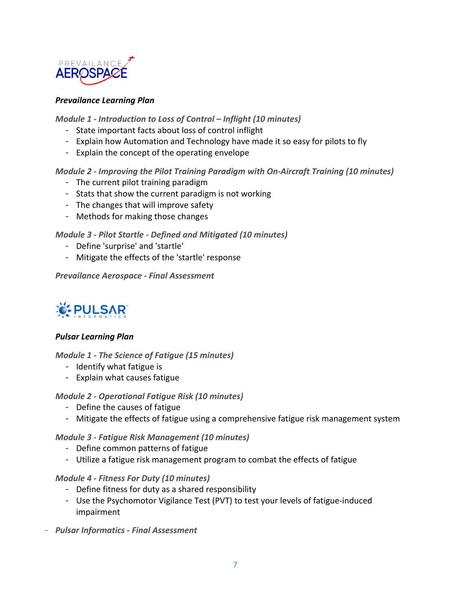

### *Prevailance Learning Plan*

<span id="page-6-0"></span>*Module 1 ‐ Introduction to Loss of Control – Inflight (10 minutes)*

- <sup>−</sup> State important facts about loss of control inflight
- <sup>−</sup> Explain how Automation and Technology have made it so easy for pilots to fly
- <sup>−</sup> Explain the concept of the operating envelope

# *Module 2 ‐ Improving the Pilot Training Paradigm with On‐Aircraft Training (10 minutes)*

- <sup>−</sup> The current pilot training paradigm
- <sup>−</sup> Stats that show the current paradigm is not working
- <sup>−</sup> The changes that will improve safety
- <sup>−</sup> Methods for making those changes

# *Module 3 ‐ Pilot Startle ‐ Defined and Mitigated (10 minutes)*

- <sup>−</sup> Define 'surprise' and 'startle'
- <sup>−</sup> Mitigate the effects of the 'startle' response

*Prevailance Aerospace ‐ Final Assessment*



# *Pulsar Learning Plan*

<span id="page-6-1"></span>*Module 1 ‐ The Science of Fatigue (15 minutes)*

- <sup>−</sup> Identify what fatigue is
- <sup>−</sup> Explain what causes fatigue

*Module 2 ‐ Operational Fatigue Risk (10 minutes)*

- <sup>−</sup> Define the causes of fatigue
- <sup>−</sup> Mitigate the effects of fatigue using a comprehensive fatigue risk management system

# *Module 3 ‐ Fatigue Risk Management (10 minutes)*

- <sup>−</sup> Define common patterns of fatigue
- <sup>−</sup> Utilize a fatigue risk management program to combat the effects of fatigue

#### *Module 4 ‐ Fitness For Duty (10 minutes)*

- <sup>−</sup> Define fitness for duty as a shared responsibility
- <sup>−</sup> Use the Psychomotor Vigilance Test (PVT) to test your levels of fatigue-induced impairment
- <sup>−</sup> *Pulsar Informatics ‐ Final Assessment*